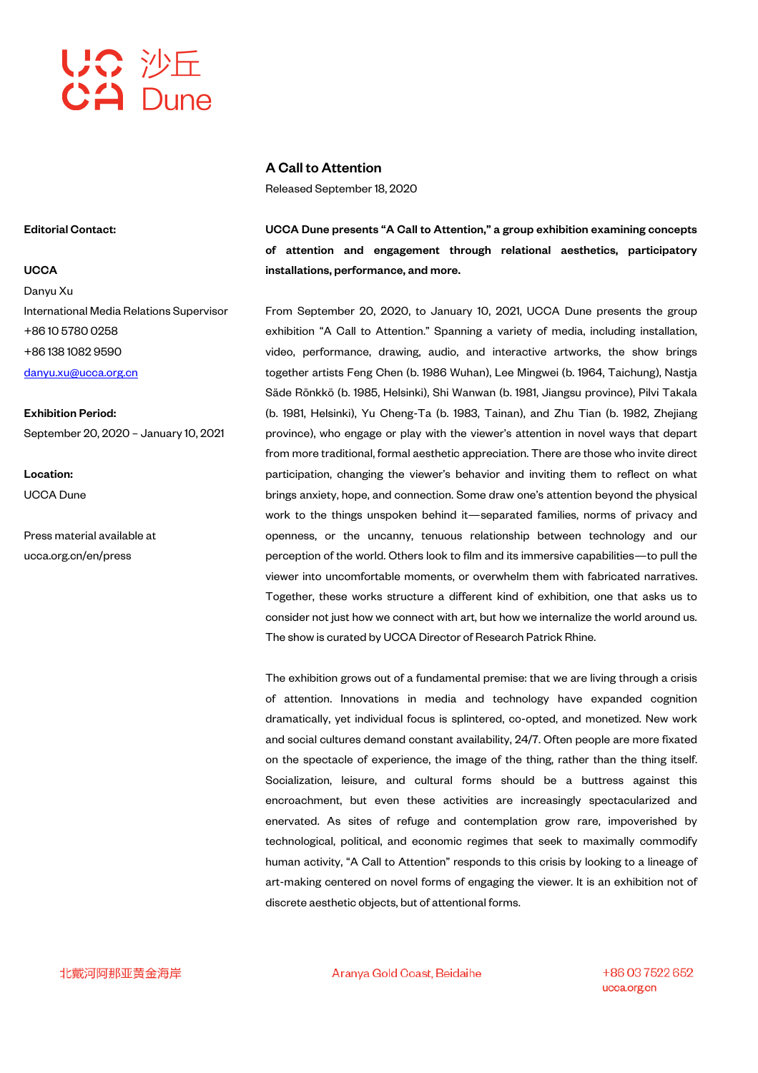

# A Call to Attention

Released September 18, 2020

UCCA Dune presents "A Call to Attention," a group exhibition examining concepts of attention and engagement through relational aesthetics, participatory installations, performance, and more.

From September 20, 2020, to January 10, 2021, UCCA Dune presents the group exhibition "A Call to Attention." Spanning a variety of media, including installation, video, performance, drawing, audio, and interactive artworks, the show brings together artists Feng Chen (b. 1986 Wuhan), Lee Mingwei (b. 1964, Taichung), Nastja Säde Rönkkö (b. 1985, Helsinki), Shi Wanwan (b. 1981, Jiangsu province), Pilvi Takala (b. 1981, Helsinki), Yu Cheng-Ta (b. 1983, Tainan), and Zhu Tian (b. 1982, Zhejiang province), who engage or play with the viewer's attention in novel ways that depart from more traditional, formal aesthetic appreciation. There are those who invite direct participation, changing the viewer's behavior and inviting them to reflect on what brings anxiety, hope, and connection. Some draw one's attention beyond the physical work to the things unspoken behind it—separated families, norms of privacy and openness, or the uncanny, tenuous relationship between technology and our perception of the world. Others look to film and its immersive capabilities—to pull the viewer into uncomfortable moments, or overwhelm them with fabricated narratives. Together, these works structure a different kind of exhibition, one that asks us to consider not just how we connect with art, but how we internalize the world around us. The show is curated by UCCA Director of Research Patrick Rhine.

The exhibition grows out of a fundamental premise: that we are living through a crisis of attention. Innovations in media and technology have expanded cognition dramatically, yet individual focus is splintered, co-opted, and monetized. New work and social cultures demand constant availability, 24/7. Often people are more fixated on the spectacle of experience, the image of the thing, rather than the thing itself. Socialization, leisure, and cultural forms should be a buttress against this encroachment, but even these activities are increasingly spectacularized and enervated. As sites of refuge and contemplation grow rare, impoverished by technological, political, and economic regimes that seek to maximally commodify human activity, "A Call to Attention" responds to this crisis by looking to a lineage of art-making centered on novel forms of engaging the viewer. It is an exhibition not of discrete aesthetic objects, but of attentional forms.

Editorial Contact:

### **UCCA**

Danyu Xu International Media Relations Supervisor +86 10 5780 0258 +86 138 1082 9590 danyu.xu@ucca.org.cn

Exhibition Period: September 20, 2020 – January 10, 2021

Location: UCCA Dune

Press material available at ucca.org.cn/en/press

北戴河阿那亚黄金海岸

Aranya Gold Coast, Beidaihe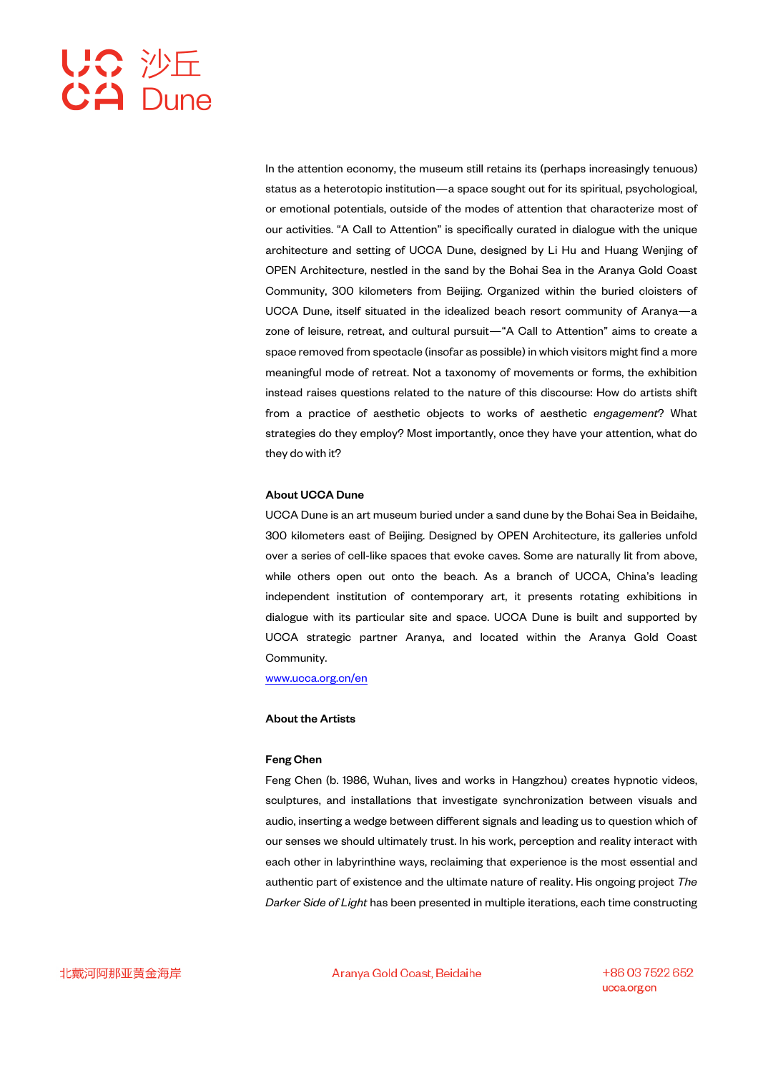In the attention economy, the museum still retains its (perhaps increasingly tenuous) status as a heterotopic institution—a space sought out for its spiritual, psychological, or emotional potentials, outside of the modes of attention that characterize most of our activities. "A Call to Attention" is specifically curated in dialogue with the unique architecture and setting of UCCA Dune, designed by Li Hu and Huang Wenjing of OPEN Architecture, nestled in the sand by the Bohai Sea in the Aranya Gold Coast Community, 300 kilometers from Beijing. Organized within the buried cloisters of UCCA Dune, itself situated in the idealized beach resort community of Aranya—a zone of leisure, retreat, and cultural pursuit—"A Call to Attention" aims to create a space removed from spectacle (insofar as possible) in which visitors might find a more meaningful mode of retreat. Not a taxonomy of movements or forms, the exhibition instead raises questions related to the nature of this discourse: How do artists shift from a practice of aesthetic objects to works of aesthetic *engagement*? What strategies do they employ? Most importantly, once they have your attention, what do they do with it?

# About UCCA Dune

UCCA Dune is an art museum buried under a sand dune by the Bohai Sea in Beidaihe, 300 kilometers east of Beijing. Designed by OPEN Architecture, its galleries unfold over a series of cell-like spaces that evoke caves. Some are naturally lit from above, while others open out onto the beach. As a branch of UCCA, China's leading independent institution of contemporary art, it presents rotating exhibitions in dialogue with its particular site and space. UCCA Dune is built and supported by UCCA strategic partner Aranya, and located within the Aranya Gold Coast Community.

www.ucca.org.cn/en

# About the Artists

### Feng Chen

Feng Chen (b. 1986, Wuhan, lives and works in Hangzhou) creates hypnotic videos, sculptures, and installations that investigate synchronization between visuals and audio, inserting a wedge between different signals and leading us to question which of our senses we should ultimately trust. In his work, perception and reality interact with each other in labyrinthine ways, reclaiming that experience is the most essential and authentic part of existence and the ultimate nature of reality. His ongoing project *The Darker Side of Light* has been presented in multiple iterations, each time constructing

Aranya Gold Coast, Beidaihe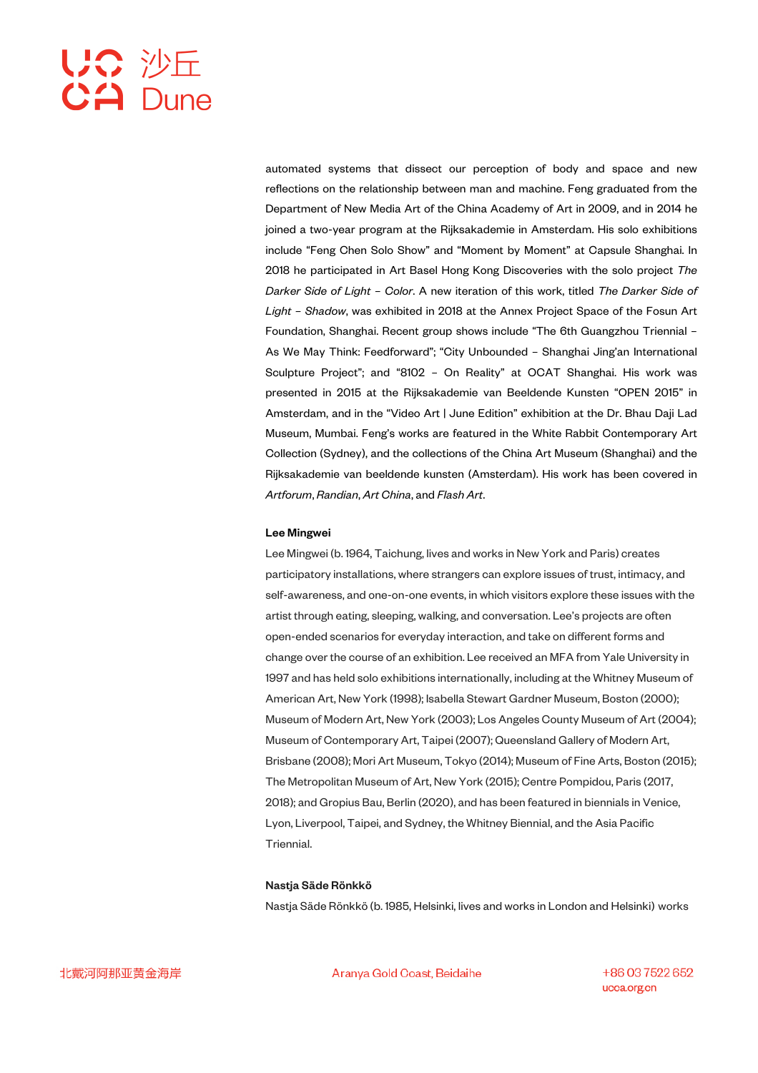automated systems that dissect our perception of body and space and new reflections on the relationship between man and machine. Feng graduated from the Department of New Media Art of the China Academy of Art in 2009, and in 2014 he joined a two-year program at the Rijksakademie in Amsterdam. His solo exhibitions include "Feng Chen Solo Show" and "Moment by Moment" at Capsule Shanghai. In 2018 he participated in Art Basel Hong Kong Discoveries with the solo project *The Darker Side of Light – Color*. A new iteration of this work, titled *The Darker Side of Light – Shadow*, was exhibited in 2018 at the Annex Project Space of the Fosun Art Foundation, Shanghai. Recent group shows include "The 6th Guangzhou Triennial – As We May Think: Feedforward"; "City Unbounded – Shanghai Jing'an International Sculpture Project"; and "8102 – On Reality" at OCAT Shanghai. His work was presented in 2015 at the Rijksakademie van Beeldende Kunsten "OPEN 2015" in Amsterdam, and in the "Video Art | June Edition" exhibition at the Dr. Bhau Daji Lad Museum, Mumbai. Feng's works are featured in the White Rabbit Contemporary Art Collection (Sydney), and the collections of the China Art Museum (Shanghai) and the Rijksakademie van beeldende kunsten (Amsterdam). His work has been covered in *Artforum*, *Randian*, *Art China*, and *Flash Art*.

### Lee Mingwei

Lee Mingwei (b. 1964, Taichung, lives and works in New York and Paris) creates participatory installations, where strangers can explore issues of trust, intimacy, and self-awareness, and one-on-one events, in which visitors explore these issues with the artist through eating, sleeping, walking, and conversation. Lee's projects are often open-ended scenarios for everyday interaction, and take on different forms and change over the course of an exhibition. Lee received an MFA from Yale University in 1997 and has held solo exhibitions internationally, including at the Whitney Museum of American Art, New York (1998); Isabella Stewart Gardner Museum, Boston (2000); Museum of Modern Art, New York (2003); Los Angeles County Museum of Art (2004); Museum of Contemporary Art, Taipei (2007); Queensland Gallery of Modern Art, Brisbane (2008); Mori Art Museum, Tokyo (2014); Museum of Fine Arts, Boston (2015); The Metropolitan Museum of Art, New York (2015); Centre Pompidou, Paris (2017, 2018); and Gropius Bau, Berlin (2020), and has been featured in biennials in Venice, Lyon, Liverpool, Taipei, and Sydney, the Whitney Biennial, and the Asia Pacific **Triennial** 

### Nastja Säde Rönkkö

Nastja Säde Rönkkö (b. 1985, Helsinki, lives and works in London and Helsinki) works

Aranya Gold Coast, Beidaihe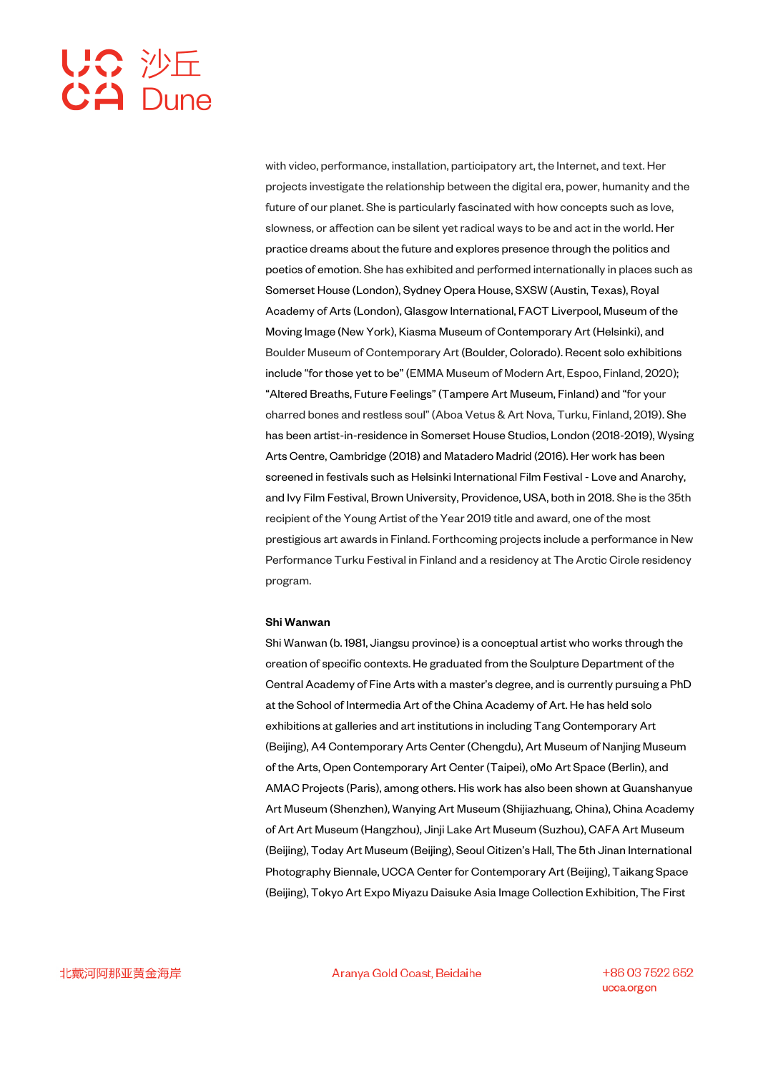with video, performance, installation, participatory art, the Internet, and text. Her projects investigate the relationship between the digital era, power, humanity and the future of our planet. She is particularly fascinated with how concepts such as love, slowness, or affection can be silent yet radical ways to be and act in the world. Her practice dreams about the future and explores presence through the politics and poetics of emotion. She has exhibited and performed internationally in places such as Somerset House (London), Sydney Opera House, SXSW (Austin, Texas), Royal Academy of Arts (London), Glasgow International, FACT Liverpool, Museum of the Moving Image (New York), Kiasma Museum of Contemporary Art (Helsinki), and Boulder Museum of Contemporary Art (Boulder, Colorado). Recent solo exhibitions include "for those yet to be" (EMMA Museum of Modern Art, Espoo, Finland, 2020); "Altered Breaths, Future Feelings" (Tampere Art Museum, Finland) and "for your charred bones and restless soul" (Aboa Vetus & Art Nova, Turku, Finland, 2019). She has been artist-in-residence in Somerset House Studios, London (2018-2019), Wysing Arts Centre, Cambridge (2018) and Matadero Madrid (2016). Her work has been screened in festivals such as Helsinki International Film Festival - Love and Anarchy, and Ivy Film Festival, Brown University, Providence, USA, both in 2018. She is the 35th recipient of the Young Artist of the Year 2019 title and award, one of the most prestigious art awards in Finland. Forthcoming projects include a performance in New Performance Turku Festival in Finland and a residency at The Arctic Circle residency program.

## Shi Wanwan

Shi Wanwan (b. 1981, Jiangsu province) is a conceptual artist who works through the creation of specific contexts. He graduated from the Sculpture Department of the Central Academy of Fine Arts with a master's degree, and is currently pursuing a PhD at the School of Intermedia Art of the China Academy of Art. He has held solo exhibitions at galleries and art institutions in including Tang Contemporary Art (Beijing), A4 Contemporary Arts Center (Chengdu), Art Museum of Nanjing Museum of the Arts, Open Contemporary Art Center (Taipei), oMo Art Space (Berlin), and AMAC Projects (Paris), among others. His work has also been shown at Guanshanyue Art Museum (Shenzhen), Wanying Art Museum (Shijiazhuang, China), China Academy of Art Art Museum (Hangzhou), Jinji Lake Art Museum (Suzhou), CAFA Art Museum (Beijing), Today Art Museum (Beijing), Seoul Citizen's Hall, The 5th Jinan International Photography Biennale, UCCA Center for Contemporary Art (Beijing), Taikang Space (Beijing), Tokyo Art Expo Miyazu Daisuke Asia Image Collection Exhibition, The First

Aranya Gold Coast, Beidaihe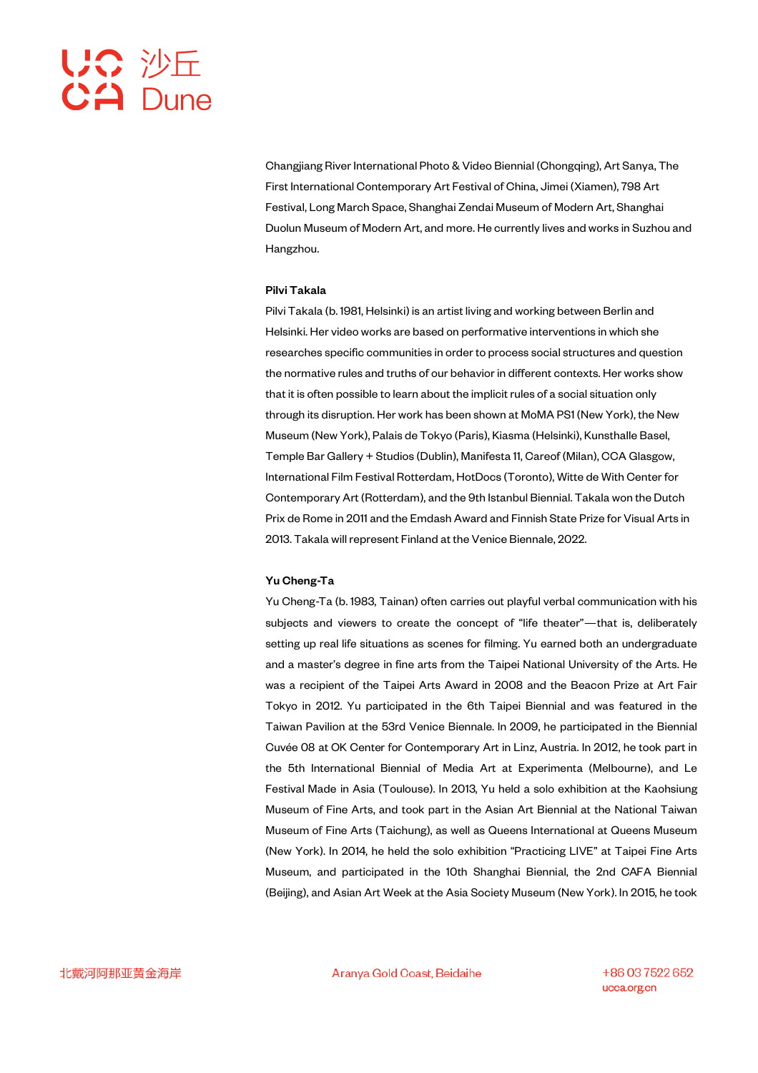Changjiang River International Photo & Video Biennial (Chongqing), Art Sanya, The First International Contemporary Art Festival of China, Jimei (Xiamen), 798 Art Festival, Long March Space, Shanghai Zendai Museum of Modern Art, Shanghai Duolun Museum of Modern Art, and more. He currently lives and works in Suzhou and Hangzhou.

### Pilvi Takala

Pilvi Takala (b. 1981, Helsinki) is an artist living and working between Berlin and Helsinki. Her video works are based on performative interventions in which she researches specific communities in order to process social structures and question the normative rules and truths of our behavior in different contexts. Her works show that it is often possible to learn about the implicit rules of a social situation only through its disruption. Her work has been shown at MoMA PS1 (New York), the New Museum (New York), Palais de Tokyo (Paris), Kiasma (Helsinki), Kunsthalle Basel, Temple Bar Gallery + Studios (Dublin), Manifesta 11, Careof (Milan), CCA Glasgow, International Film Festival Rotterdam, HotDocs (Toronto), Witte de With Center for Contemporary Art (Rotterdam), and the 9th Istanbul Biennial. Takala won the Dutch Prix de Rome in 2011 and the Emdash Award and Finnish State Prize for Visual Arts in 2013. Takala will represent Finland at the Venice Biennale, 2022.

### Yu Cheng-Ta

Yu Cheng-Ta (b. 1983, Tainan) often carries out playful verbal communication with his subjects and viewers to create the concept of "life theater"—that is, deliberately setting up real life situations as scenes for filming. Yu earned both an undergraduate and a master's degree in fine arts from the Taipei National University of the Arts. He was a recipient of the Taipei Arts Award in 2008 and the Beacon Prize at Art Fair Tokyo in 2012. Yu participated in the 6th Taipei Biennial and was featured in the Taiwan Pavilion at the 53rd Venice Biennale. In 2009, he participated in the Biennial Cuvée 08 at OK Center for Contemporary Art in Linz, Austria. In 2012, he took part in the 5th International Biennial of Media Art at Experimenta (Melbourne), and Le Festival Made in Asia (Toulouse). In 2013, Yu held a solo exhibition at the Kaohsiung Museum of Fine Arts, and took part in the Asian Art Biennial at the National Taiwan Museum of Fine Arts (Taichung), as well as Queens International at Queens Museum (New York). In 2014, he held the solo exhibition "Practicing LIVE" at Taipei Fine Arts Museum, and participated in the 10th Shanghai Biennial, the 2nd CAFA Biennial (Beijing), and Asian Art Week at the Asia Society Museum (New York). In 2015, he took

Aranya Gold Coast, Beidaihe